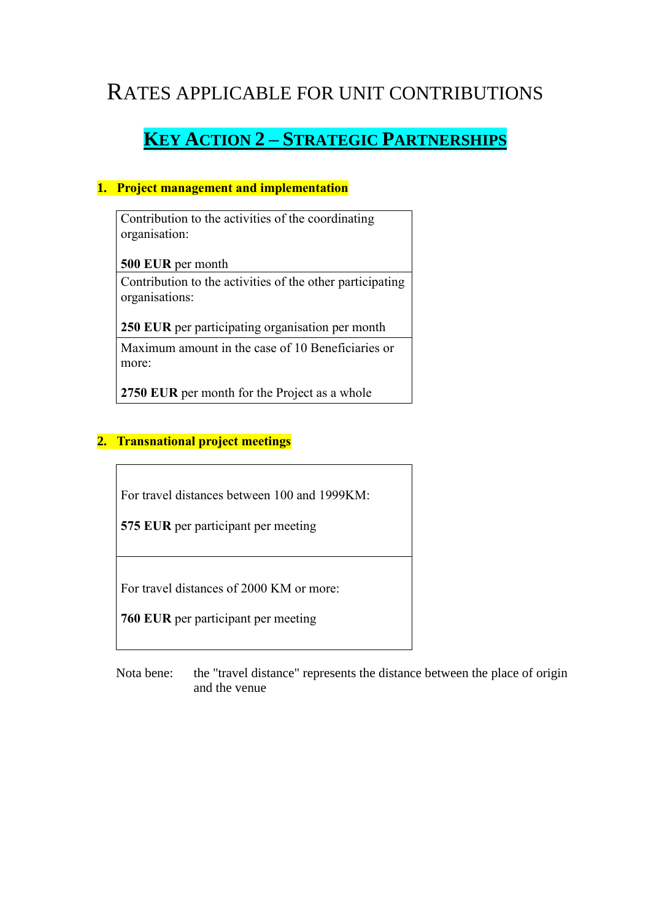# RATES APPLICABLE FOR UNIT CONTRIBUTIONS

# **KEY ACTION 2 – STRATEGIC PARTNERSHIPS**

### **1. Project management and implementation**

Contribution to the activities of the coordinating organisation:

**500 EUR** per month

Contribution to the activities of the other participating organisations:

**250 EUR** per participating organisation per month

Maximum amount in the case of 10 Beneficiaries or more:

**2750 EUR** per month for the Project as a whole

### **2. Transnational project meetings**

For travel distances between 100 and 1999KM:

**575 EUR** per participant per meeting

For travel distances of 2000 KM or more:

**760 EUR** per participant per meeting

Nota bene: the "travel distance" represents the distance between the place of origin and the venue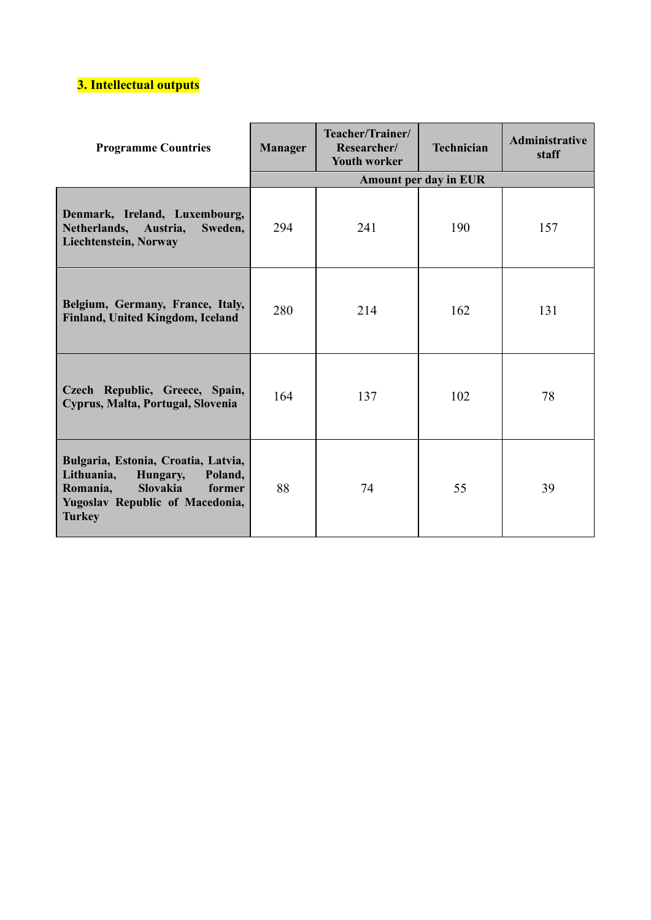# **3. Intellectual outputs**

| <b>Programme Countries</b>                                                                                                                                            | Teacher/Trainer/<br>Researcher/<br>Manager<br><b>Youth worker</b> |     | <b>Technician</b> | <b>Administrative</b><br>staff |
|-----------------------------------------------------------------------------------------------------------------------------------------------------------------------|-------------------------------------------------------------------|-----|-------------------|--------------------------------|
|                                                                                                                                                                       | <b>Amount per day in EUR</b>                                      |     |                   |                                |
| Denmark, Ireland, Luxembourg,<br>Netherlands, Austria,<br>Sweden,<br>Liechtenstein, Norway                                                                            | 294                                                               | 241 | 190               | 157                            |
| Belgium, Germany, France, Italy,<br>Finland, United Kingdom, Iceland                                                                                                  | 280                                                               | 214 | 162               | 131                            |
| Czech Republic, Greece, Spain,<br>Cyprus, Malta, Portugal, Slovenia                                                                                                   | 164                                                               | 137 | 102               | 78                             |
| Bulgaria, Estonia, Croatia, Latvia,<br>Lithuania,<br>Hungary,<br>Poland,<br><b>Slovakia</b><br>Romania,<br>former<br>Yugoslav Republic of Macedonia,<br><b>Turkey</b> | 88                                                                | 74  | 55                | 39                             |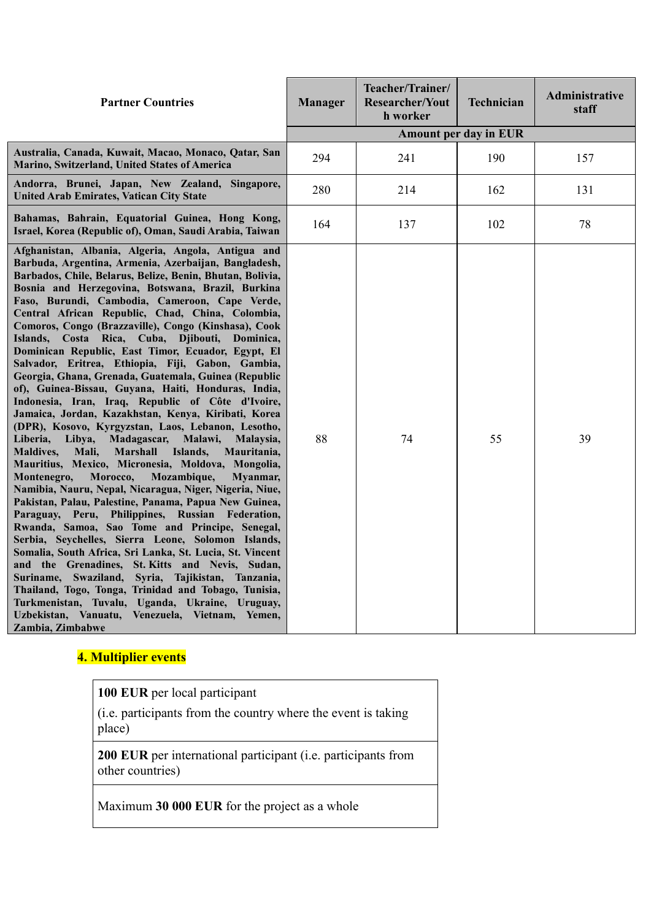| <b>Partner Countries</b>                                                                                                                                                                                                                                                                                                                                                                                                                                                                                                                                                                                                                                                                                                                                                                                                                                                                                                                                                                                                                                                                                                                                                                                                                                                                                                                                                                                                                                                                                                                                                                                                                                                                                                             | <b>Manager</b> | Teacher/Trainer/<br><b>Researcher/Yout</b><br>h worker | <b>Technician</b> | Administrative<br>staff |  |
|--------------------------------------------------------------------------------------------------------------------------------------------------------------------------------------------------------------------------------------------------------------------------------------------------------------------------------------------------------------------------------------------------------------------------------------------------------------------------------------------------------------------------------------------------------------------------------------------------------------------------------------------------------------------------------------------------------------------------------------------------------------------------------------------------------------------------------------------------------------------------------------------------------------------------------------------------------------------------------------------------------------------------------------------------------------------------------------------------------------------------------------------------------------------------------------------------------------------------------------------------------------------------------------------------------------------------------------------------------------------------------------------------------------------------------------------------------------------------------------------------------------------------------------------------------------------------------------------------------------------------------------------------------------------------------------------------------------------------------------|----------------|--------------------------------------------------------|-------------------|-------------------------|--|
|                                                                                                                                                                                                                                                                                                                                                                                                                                                                                                                                                                                                                                                                                                                                                                                                                                                                                                                                                                                                                                                                                                                                                                                                                                                                                                                                                                                                                                                                                                                                                                                                                                                                                                                                      |                | <b>Amount per day in EUR</b>                           |                   |                         |  |
| Australia, Canada, Kuwait, Macao, Monaco, Qatar, San<br>Marino, Switzerland, United States of America                                                                                                                                                                                                                                                                                                                                                                                                                                                                                                                                                                                                                                                                                                                                                                                                                                                                                                                                                                                                                                                                                                                                                                                                                                                                                                                                                                                                                                                                                                                                                                                                                                | 294            | 241                                                    | 190               | 157                     |  |
| Andorra, Brunei, Japan, New Zealand, Singapore,<br><b>United Arab Emirates, Vatican City State</b>                                                                                                                                                                                                                                                                                                                                                                                                                                                                                                                                                                                                                                                                                                                                                                                                                                                                                                                                                                                                                                                                                                                                                                                                                                                                                                                                                                                                                                                                                                                                                                                                                                   | 280            | 214                                                    | 162               | 131                     |  |
| Bahamas, Bahrain, Equatorial Guinea, Hong Kong,<br>Israel, Korea (Republic of), Oman, Saudi Arabia, Taiwan                                                                                                                                                                                                                                                                                                                                                                                                                                                                                                                                                                                                                                                                                                                                                                                                                                                                                                                                                                                                                                                                                                                                                                                                                                                                                                                                                                                                                                                                                                                                                                                                                           | 164            | 137                                                    | 102               | 78                      |  |
| Afghanistan, Albania, Algeria, Angola, Antigua and<br>Barbuda, Argentina, Armenia, Azerbaijan, Bangladesh,<br>Barbados, Chile, Belarus, Belize, Benin, Bhutan, Bolivia,<br>Bosnia and Herzegovina, Botswana, Brazil, Burkina<br>Faso, Burundi, Cambodia, Cameroon, Cape Verde,<br>Central African Republic, Chad, China, Colombia,<br>Comoros, Congo (Brazzaville), Congo (Kinshasa), Cook<br>Islands, Costa Rica, Cuba, Djibouti, Dominica,<br>Dominican Republic, East Timor, Ecuador, Egypt, El<br>Salvador, Eritrea, Ethiopia, Fiji, Gabon, Gambia,<br>Georgia, Ghana, Grenada, Guatemala, Guinea (Republic<br>of), Guinea-Bissau, Guyana, Haiti, Honduras, India,<br>Indonesia, Iran, Iraq, Republic of Côte d'Ivoire,<br>Jamaica, Jordan, Kazakhstan, Kenya, Kiribati, Korea<br>(DPR), Kosovo, Kyrgyzstan, Laos, Lebanon, Lesotho,<br>Madagascar,<br>Malawi,<br>Liberia,<br>Libya,<br>Malaysia,<br><b>Marshall</b><br>Islands,<br>Mauritania,<br><b>Maldives,</b><br>Mali,<br>Mauritius, Mexico, Micronesia, Moldova, Mongolia,<br>Montenegro,<br>Morocco,<br>Mozambique,<br>Myanmar,<br>Namibia, Nauru, Nepal, Nicaragua, Niger, Nigeria, Niue,<br>Pakistan, Palau, Palestine, Panama, Papua New Guinea,<br>Paraguay, Peru, Philippines, Russian Federation,<br>Rwanda, Samoa, Sao Tome and Principe, Senegal,<br>Serbia, Seychelles, Sierra Leone, Solomon Islands,<br>Somalia, South Africa, Sri Lanka, St. Lucia, St. Vincent<br>and the Grenadines, St. Kitts and Nevis, Sudan,<br>Suriname, Swaziland, Syria, Tajikistan, Tanzania,<br>Thailand, Togo, Tonga, Trinidad and Tobago, Tunisia,<br>Turkmenistan, Tuvalu, Uganda, Ukraine, Uruguay,<br>Uzbekistan, Vanuatu,<br>Venezuela, Vietnam, Yemen,<br>Zambia, Zimbabwe | 88             | 74                                                     | 55                | 39                      |  |

# **4. Multiplier events**

**100 EUR** per local participant

(i.e. participants from the country where the event is taking place)

**200 EUR** per international participant (i.e. participants from other countries)

Maximum **30 000 EUR** for the project as a whole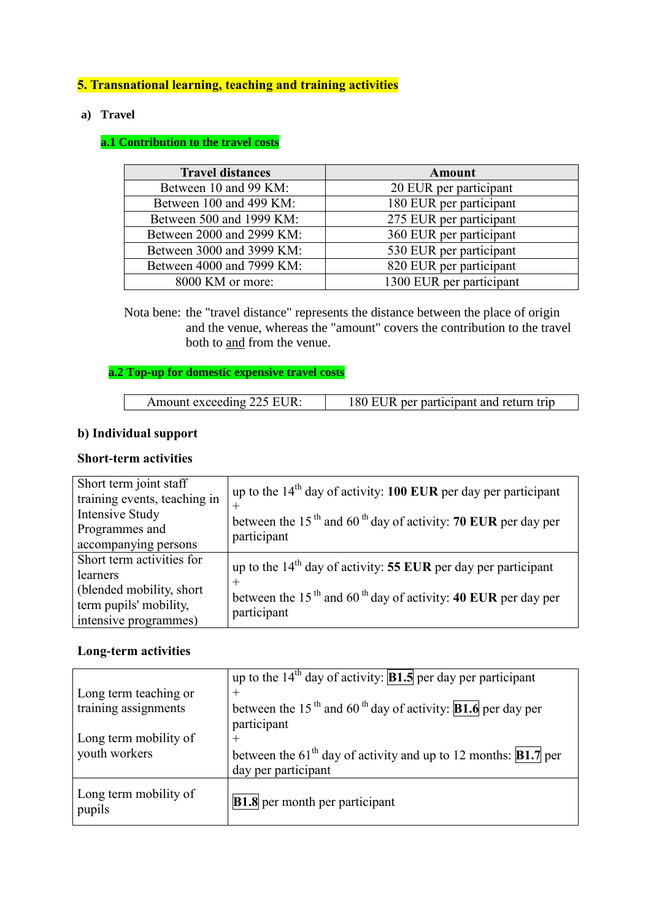## **5. Transnational learning, teaching and training activities**

#### **a) Travel**

#### **a.1 Contribution to the travel costs**

| <b>Travel distances</b>   | Amount                   |  |  |
|---------------------------|--------------------------|--|--|
| Between 10 and 99 KM:     | 20 EUR per participant   |  |  |
| Between 100 and 499 KM:   | 180 EUR per participant  |  |  |
| Between 500 and 1999 KM:  | 275 EUR per participant  |  |  |
| Between 2000 and 2999 KM: | 360 EUR per participant  |  |  |
| Between 3000 and 3999 KM: | 530 EUR per participant  |  |  |
| Between 4000 and 7999 KM: | 820 EUR per participant  |  |  |
| 8000 KM or more:          | 1300 EUR per participant |  |  |

Nota bene: the "travel distance" represents the distance between the place of origin and the venue, whereas the "amount" covers the contribution to the travel both to and from the venue.

## **a.2 Top-up for domestic expensive travel costs**

| Amount exceeding 225 EUR: | 180 EUR per participant and return trip |
|---------------------------|-----------------------------------------|
|---------------------------|-----------------------------------------|

#### **b) Individual support**

#### **Short-term activities**

| Short term joint staff<br>training events, teaching in | up to the $14th$ day of activity: 100 EUR per day per participant                     |
|--------------------------------------------------------|---------------------------------------------------------------------------------------|
| Intensive Study                                        | between the 15 <sup>th</sup> and 60 <sup>th</sup> day of activity: 70 EUR per day per |
| Programmes and                                         | participant                                                                           |
| accompanying persons                                   |                                                                                       |
| Short term activities for                              | up to the $14th$ day of activity: 55 EUR per day per participant                      |
| learners                                               |                                                                                       |
| (blended mobility, short)                              | between the 15 <sup>th</sup> and 60 <sup>th</sup> day of activity: 40 EUR per day per |
| term pupils' mobility,                                 | participant                                                                           |
| intensive programmes)                                  |                                                                                       |

#### **Long-term activities**

|                                 | up to the $14th$ day of activity: <b>B1.5</b> per day per participant                      |
|---------------------------------|--------------------------------------------------------------------------------------------|
| Long term teaching or           | $\pm$                                                                                      |
| training assignments            | between the 15 <sup>th</sup> and 60 <sup>th</sup> day of activity: <b>B1.6</b> per day per |
|                                 | participant                                                                                |
| Long term mobility of           | $\pm$                                                                                      |
| youth workers                   | between the 61 <sup>th</sup> day of activity and up to 12 months: <b>B1.7</b> per          |
|                                 | day per participant                                                                        |
| Long term mobility of<br>pupils | <b>B1.8</b> per month per participant                                                      |